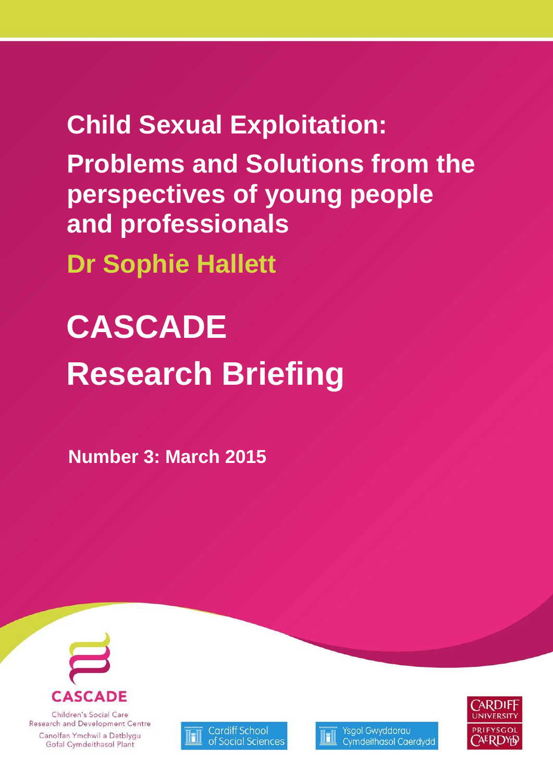**Child Sexual Exploitation: Problems and Solutions from the perspectives of young people and professionals**

**Dr Sophie Hallett**

# **CASCADE Research Briefing**

**Number 3: March 2015**



Children's Social Care Research and Development Centre Canolfan Ymchwil a Datblygu Gofal Cymdeithasol Plant





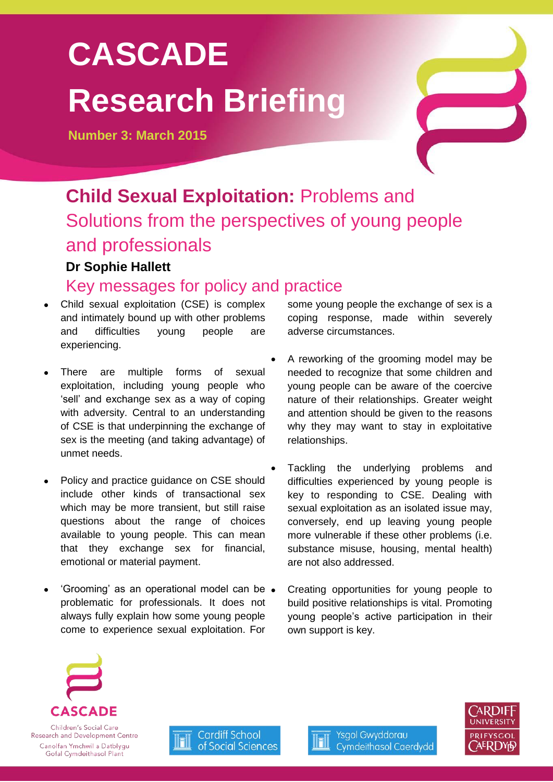# **CASCADE Research Briefing**

**Number 3: March 2015**

## **Child Sexual Exploitation:** Problems and Solutions from the perspectives of young people and professionals **Dr Sophie Hallett**

## Key messages for policy and practice

- Child sexual exploitation (CSE) is complex and intimately bound up with other problems and difficulties young people are experiencing.
- There are multiple forms of sexual exploitation, including young people who 'sell' and exchange sex as a way of coping with adversity. Central to an understanding of CSE is that underpinning the exchange of sex is the meeting (and taking advantage) of unmet needs.
- Policy and practice guidance on CSE should include other kinds of transactional sex which may be more transient, but still raise questions about the range of choices available to young people. This can mean that they exchange sex for financial, emotional or material payment.
- 'Grooming' as an operational model can be problematic for professionals. It does not always fully explain how some young people come to experience sexual exploitation. For

some young people the exchange of sex is a coping response, made within severely adverse circumstances.

- A reworking of the grooming model may be needed to recognize that some children and young people can be aware of the coercive nature of their relationships. Greater weight and attention should be given to the reasons why they may want to stay in exploitative relationships.
- Tackling the underlying problems and difficulties experienced by young people is key to responding to CSE. Dealing with sexual exploitation as an isolated issue may, conversely, end up leaving young people more vulnerable if these other problems (i.e. substance misuse, housing, mental health) are not also addressed.
- Creating opportunities for young people to build positive relationships is vital. Promoting young people's active participation in their own support is key.



Children's Social Care Research and Development Centre Canolfan Ymchwil a Datblygu Gofal Cymdeithasol Plant





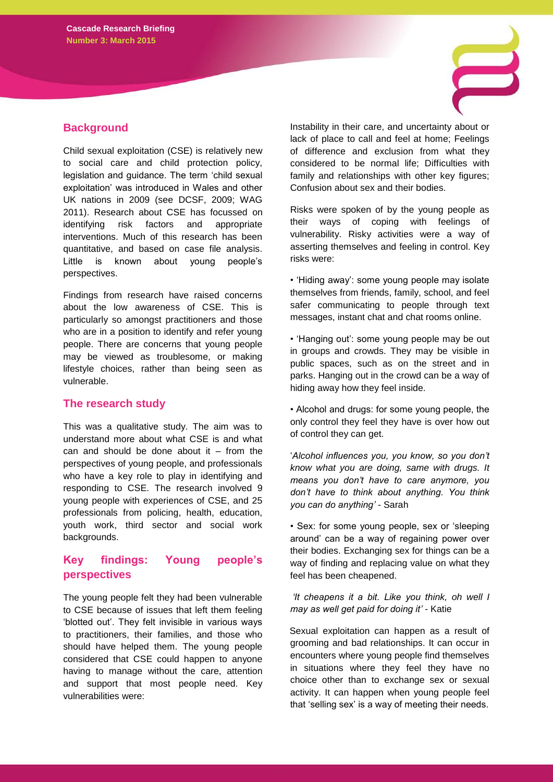#### **Background**

Child sexual exploitation (CSE) is relatively new to social care and child protection policy, legislation and guidance. The term 'child sexual exploitation' was introduced in Wales and other UK nations in 2009 (see DCSF, 2009; WAG 2011). Research about CSE has focussed on identifying risk factors and appropriate interventions. Much of this research has been quantitative, and based on case file analysis. Little is known about young people's perspectives.

Findings from research have raised concerns about the low awareness of CSE. This is particularly so amongst practitioners and those who are in a position to identify and refer young people. There are concerns that young people may be viewed as troublesome, or making lifestyle choices, rather than being seen as vulnerable.

#### **The research study**

This was a qualitative study. The aim was to understand more about what CSE is and what can and should be done about it  $-$  from the perspectives of young people, and professionals who have a key role to play in identifying and responding to CSE. The research involved 9 young people with experiences of CSE, and 25 professionals from policing, health, education, youth work, third sector and social work backgrounds.

#### **Key findings: Young people's perspectives**

The young people felt they had been vulnerable to CSE because of issues that left them feeling 'blotted out'. They felt invisible in various ways to practitioners, their families, and those who should have helped them. The young people considered that CSE could happen to anyone having to manage without the care, attention and support that most people need. Key vulnerabilities were:

Instability in their care, and uncertainty about or lack of place to call and feel at home; Feelings of difference and exclusion from what they considered to be normal life; Difficulties with family and relationships with other key figures; Confusion about sex and their bodies.

Risks were spoken of by the young people as their ways of coping with feelings of vulnerability. Risky activities were a way of asserting themselves and feeling in control. Key risks were:

• 'Hiding away': some young people may isolate themselves from friends, family, school, and feel safer communicating to people through text messages, instant chat and chat rooms online.

• 'Hanging out': some young people may be out in groups and crowds. They may be visible in public spaces, such as on the street and in parks. Hanging out in the crowd can be a way of hiding away how they feel inside.

• Alcohol and drugs: for some young people, the only control they feel they have is over how out of control they can get.

'*Alcohol influences you, you know, so you don't know what you are doing, same with drugs. It means you don't have to care anymore, you don't have to think about anything. You think you can do anything'* - Sarah

• Sex: for some young people, sex or 'sleeping around' can be a way of regaining power over their bodies. Exchanging sex for things can be a way of finding and replacing value on what they feel has been cheapened.

*'It cheapens it a bit. Like you think, oh well I may as well get paid for doing it' -* Katie

Sexual exploitation can happen as a result of grooming and bad relationships. It can occur in encounters where young people find themselves in situations where they feel they have no choice other than to exchange sex or sexual activity. It can happen when young people feel that 'selling sex' is a way of meeting their needs.

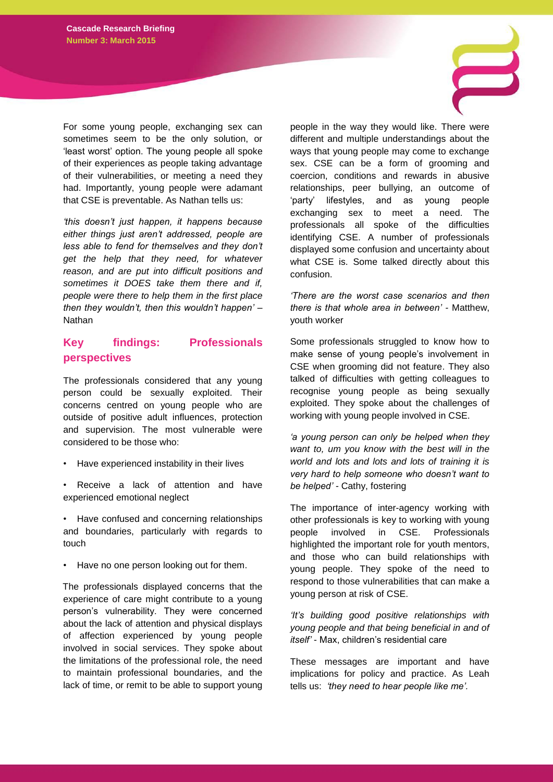For some young people, exchanging sex can sometimes seem to be the only solution, or 'least worst' option. The young people all spoke of their experiences as people taking advantage of their vulnerabilities, or meeting a need they had. Importantly, young people were adamant that CSE is preventable. As Nathan tells us:

*'this doesn't just happen, it happens because either things just aren't addressed, people are less able to fend for themselves and they don't get the help that they need, for whatever reason, and are put into difficult positions and sometimes it DOES take them there and if, people were there to help them in the first place then they wouldn't, then this wouldn't happen'* – Nathan

#### **Key findings: Professionals perspectives**

The professionals considered that any young person could be sexually exploited. Their concerns centred on young people who are outside of positive adult influences, protection and supervision. The most vulnerable were considered to be those who:

- Have experienced instability in their lives
- Receive a lack of attention and have experienced emotional neglect
- Have confused and concerning relationships and boundaries, particularly with regards to touch
- Have no one person looking out for them.

The professionals displayed concerns that the experience of care might contribute to a young person's vulnerability. They were concerned about the lack of attention and physical displays of affection experienced by young people involved in social services. They spoke about the limitations of the professional role, the need to maintain professional boundaries, and the lack of time, or remit to be able to support young

people in the way they would like. There were different and multiple understandings about the ways that young people may come to exchange sex. CSE can be a form of grooming and coercion, conditions and rewards in abusive relationships, peer bullying, an outcome of 'party' lifestyles, and as young people exchanging sex to meet a need. The professionals all spoke of the difficulties identifying CSE. A number of professionals displayed some confusion and uncertainty about what CSE is. Some talked directly about this confusion.

*'There are the worst case scenarios and then there is that whole area in between' -* Matthew, youth worker

Some professionals struggled to know how to make sense of young people's involvement in CSE when grooming did not feature. They also talked of difficulties with getting colleagues to recognise young people as being sexually exploited. They spoke about the challenges of working with young people involved in CSE.

*'a young person can only be helped when they want to, um you know with the best will in the world and lots and lots and lots of training it is very hard to help someone who doesn't want to be helped' -* Cathy, fostering

The importance of inter-agency working with other professionals is key to working with young people involved in CSE. Professionals highlighted the important role for youth mentors, and those who can build relationships with young people. They spoke of the need to respond to those vulnerabilities that can make a young person at risk of CSE.

*'It's building good positive relationships with young people and that being beneficial in and of itself'* - Max, children's residential care

These messages are important and have implications for policy and practice. As Leah tells us: *'they need to hear people like me'.*